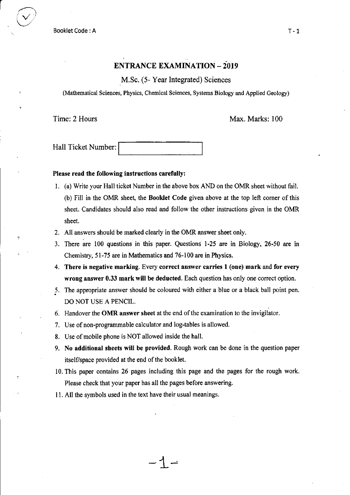example booklet Code : A T- 1

 $\bigcirc$ 

## ENTRANCE EXAMINATION  $-2019$

M.Sc. (5- Year Integrated) Sciences

(Mathematical Sciences, Physics, Chemical Sciences, Systems Biology and Applied Geology)

sheet.

Time: 2 Hours Max. Marks: 100

Hall Ticket Number:

#### Please read the following instructions carefully:

- l. (a) Write your Hall ticket Number in the above box AND on the OMR sheet without fail. (b) Fill in the OMR sheet, the Booklet Code given above at the top left comer of this sheet. Candidates should also read and follow the other instructions given in the OMR
- 2. All answers should be marked clearly in the OMR answer sheet only.
- 3. There are 100 questions in this paper. Questions l-25 are in Biology, 26:50 are in Chemistry, 51-75 are in Mathematics and 76-100 are in Physics.
- 4. There is negative marking. Every correct answer carrles I (one) mark and for every wrong answer 0.33 mark will be deducted. Each question has only one correct option.
- 5. The appropriate answer should be coloured with either a blue or a black ball point pen. DO NOT USE A PENCIL.
- 6. Handover the OMR answer sheet at the end of the examination to the invigilator.
- 7. Use of non-programmable calculator and log-tables is allowed.
- 8. Use of mobile phone is NOT allowed inside the hall.
- 9. No additional sheets will be provided. Rough work can be done in the question paper itself/space provided at the end of the booklet.
- 10. This paper contains 26 pages including this page and the pages for the rough work. Please check that your paper has all the pages before answering.

 $-1-$ 

I 1. All the symbols used in the text have their usual meanings.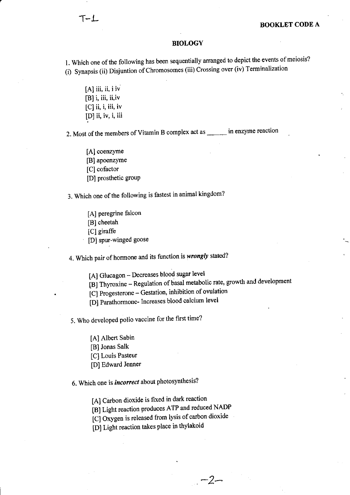#### BIOLOGY

1. Which one of the following has been sequentially arranged to depict the events of meiosis? (i) Synapsis (ii) Disjuntion of Chromosomes (iii) Crossing over (iv) Terminalization

 $[A]$  iii, ii, i iv  $[B]$  i, iii, ii,iv  $[C]$  ii, i, iii, iv [D] ii, iv, i, iii

2. Most of the members of Vitamin B complex act as \_\_\_\_\_\_ in enzyme reaction

[A] coenzyme [B] apoenzyme [C] cofactor [D] prosthetic group

3. Which one of the following is fastest in animal kingdom?

[A] peregrine falcon [B] cheetah<br>[C] giraffe [D] spur-winged goose

4. Which pair of hormone and its function is wrongly stated?

[A] Glucagon - Decreases blood sugar level

[B] Thyroxine - Regulation of basal metabolic rate, growth and development

 $-2-$ 

[C] Progesterone - Gestation, inhibition of ovulation

[D] Parathormone- Increases blood calcium level

5. Who developed polio vaccine for the first time?

- [A] Albert Sabin
- [B] Jonas Salk
- [C] Louis Pasteur
- [D] Edward Jenner

6. Which one is *incorrect* about photosynthesis?

[A] Carbon dioxide is fixed in dark reaction

[B1 Light reaction produces ATP and reduced NADP

[C] Oxygen is released from lysis of carbon dioxide

[D] Light reaction takes place in thylakoid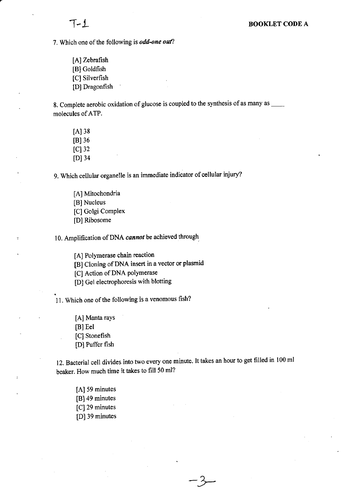7. Which one of the following is *odd-one out*?

[A] Zebrafish [B] Goldfish [C] Silverfish [D] Dragonfish

8. Complete aerobic oxidation of glucose is coupled to the synthesis of as many as \_\_\_\_ molecules of ATP.

 $[A]$  38 lBl36  $[C]$  32 [D] 34

9. Which cellular organelle is an immediate indicator of cellular injury?

[A] Mitochondria [B] Nucleus [C] Golgi Complex [D] Ribosome

10. Amplification of DNA cannot be achieved through

[A] Polymerase chain reaction

[B] Cloning of DNA insert in a vector or plasmid

[C] Action of DNA polymerase

[D] Gel electrophoresis with blotting

11. Which one of the following is a venomous fish?

[A] Manta rays [B] Eel [C] Stonefish [D] Puffer fish

12. Bacterial cell divides into two every one minute. It takes an hour to get filled in 100 ml beaker. How much time it takes to fill 50 ml?

 $-3$ 

[A] 59 minutes [B] 49 minutes [C] 29 minutes [D] 39 minutes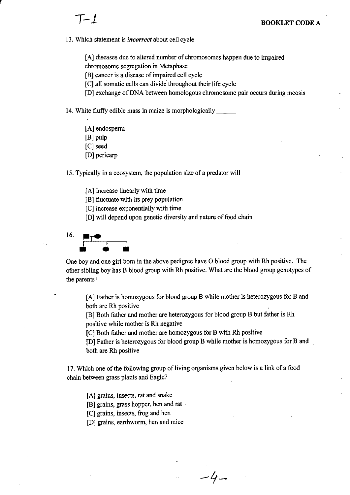13. Which statement is *incorrect* about cell cycle

[A] diseases due to altered number of chromosomes happen due to impaired chromosome segregation in Metaphase

[B] cancer is a disease of impaired cell cycle

[C] all somatic cells can divide throughout their life cycle

[D] exchange of DNA between homologous chromosome pair occurs during meosis

14. White fluffy edible mass in maize is morphologically

[A] endosperm [B] pulp [C] seed

[D] pericarp

15. Typically in a ecosystem, the population size of a predator will

[A] increase linearly with time

[B] fluctuate with its prey population

[C] increase exponentially with time

[D] will depend upon genetic diversity and nature of food chain



One boy and one girl bom in the above pedigree have O blood group with Rh positive. The other sibling boy has B blood group with Rh positive. What are the blood group genotypes of the parents?

[A] Father is homozygous for blood group B while mother is heterozygous for B and both are Rh positive

[B] Both father and mother are heterozygous for blood group B but father is Rh positive while mother is Rh negative

[C] Both father and mother are homozygous for B with Rh positive

[D] Father is heterozygous for blood group B while mother is homozygous for B and both are Rh positive

 $-4-$ 

17. Which one of the following group of living organisms given below is a link of a food chain between grass plants and Eagle?

[A] grains, insects, rat and snake

[B] grains, grass hopper, hen and rat

[C] grains, insects, frog and hen

[D] grains, earthworm, hen and mice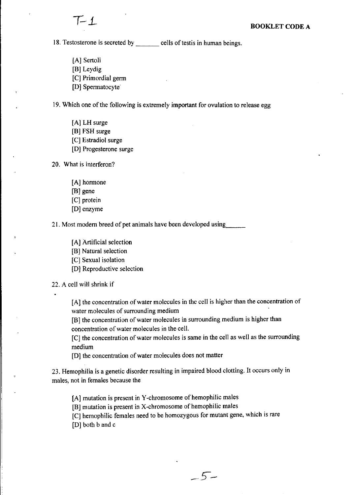18. Testosterone is secreted by cells of test in human beings.

- [A] Sertoli
- [B] Leydig
- [C] Primordial germ
- [D] Spermatocyte'

19. Which one of the following is extremely important for owlation to release egg

- [A] LH surge
- [B] FSH surge
- [C] Estradiol surge
- [D] Progesterone surge
- 20. What is interferon?
	- [A] hormone
	- [B] gene
	- [C] protein
	- [D] enzyme

21. Most modem breed of pet animals have been developed using

- [A] Artificial selection
- [B] Natural selection
- [C] Sexual isolation
- [D] Reproductive selection

22. A cell will shrink if

[A] the concentration of water molecules in the cell is higher than the concentration of water molecules of surrounding medium

[B] the concentration of water molecules in surrounding medium is higher than concentration of water molecules in the cell.

 $[C]$  the concentration of water molecules is same in the cell as well as the surrounding medium

[D] the concentration of water molecules does not matter

23. Hemophilia is a genetic disorder resulting in impaired blood clotting. It occurs only in males, not in females because the

[A] mutation is present in Y-chromosome of hemophilic males

[B] mutation is present in X-chromosome of hemophilic males

[C] hemophilic females need to be homozygous for mutant gene, which is rare

[D] both b and c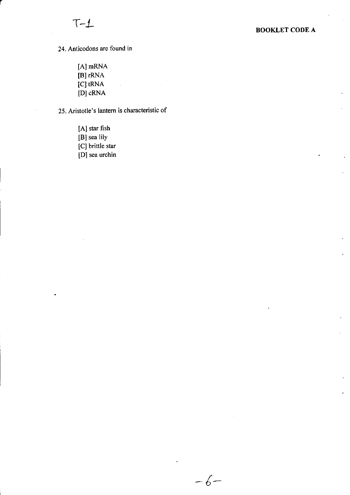24. Anticodons are found in

[A] mRNA [B] rRNA [C] tRNA [D] cRNA

25. Aristotle's lantem is characteristic of

 $-6-$ 

[A] star fish [B] sea lily [C] brittle star [D] sea urchin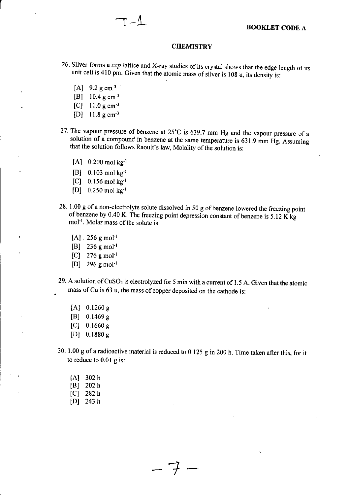#### **CHEMISTRY**

- 26. Silver forms a ccp lattice and X-ray studies of its crystal shows that the edge length of its unit cell is 410 pm. Given that the atomic mass of silver is 108 u, its density is:
	- [A]  $9.2 \text{ g cm}^{-3}$
	- $[B]$  10.4 g cm<sup>-3</sup>
	- [C]  $11.0 \text{ g cm}^{-3}$
	- [D] 11.8 gcm-3
- 27. The vapour pressure of benzene at  $25^{\circ}$ C is 639.7 mm Hg and the vapour pressure of a solution of a compound in benzene at the same temperature is  $631.9$  mm Hg. Assuming that the solution follows Raoult's law, Molality of the solution is:
	- $[A]$  0.200 mol kg<sup>-1</sup>
	- [B]  $0.103$  mol kg<sup>-1</sup>
	- $[C]$  0.156 mol kg<sup>-1</sup>
	- [D]  $0.250$  mol kg<sup>-1</sup>
- 28. 1.00 g of a non-electrolyte solute dissolved in 50 g of benzene lowered the freezing point of benzene by 0.40 K. The freezing point depression constant of benzene is 5.12 K kg mol<sup>-1</sup>. Molar mass of the solute is
	- $[A]$ . 256 g mol<sup>-1</sup>
	- $[B]$  236 g mol<sup>-1</sup>
	- $[C]$  276 g mol<sup>-1</sup>
	- $[D]$  296 g mol<sup>-1</sup>
- 29. A solution of CuSO<sub>4</sub> is electrolyzed for 5 min with a current of 1.5 A. Given that the atomic . mass of Cu is 63 u, the mass of copper deposited on the cathode is:
	- $[A]$  0.1260 g
	- [B] 0.1469 g
	- [C]  $0.1660 \text{ g}$
	- [D] 0. 1880 <sup>g</sup>
- 30. 1.00 g ofa radioactive material is reduced to 0.125 g in 200 h. Time taken after this, for it to reduce to 0.01 g is:
	- lAl 302 <sup>h</sup> lBl <sup>202</sup><sup>h</sup>
	- $[C]$  282 h
	- $[D]$  243 h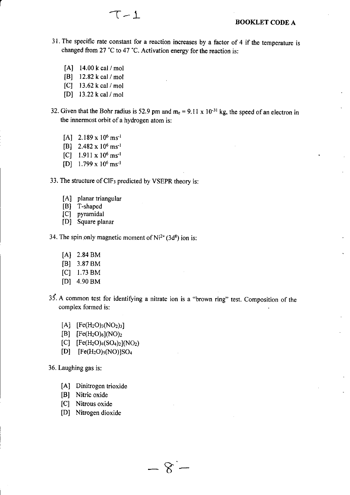- 3l . The specific rate constant for a reaction increases by a factor of 4 if the temperature is changed from 27 "C to 47 "C. Activation energy for the reaction is:
	- [A] 14.00 k cal / mol
	- $[B]$  12.82 k cal / mol
	- [C] 13.62 k cal / mol
	- lD) 13.22 k cal / mol
- 32. Given that the Bohr radius is 52.9 pm and  $m_e = 9.11 \times 10^{-31}$  kg, the speed of an electron in the innermost orbit of a hydrogen atom is:
	- $[A]$  2.189 x 10<sup>6</sup> ms<sup>-1</sup>
	- [B]  $2.482 \times 10^6$  ms<sup>-1</sup>
	- $[C]$  1.911 x 10<sup>6</sup> ms<sup>-1</sup>
	- $[D]$  1.799 x 10<sup>6</sup> ms<sup>-1</sup>

33. The structure of CIF<sub>3</sub> predicted by VSEPR theory is:

- [A] planar triangular
- [B] T-shaped
- [C] pyramidal
- [D] Square planar
- 34. The spin only magnetic moment of  $Ni^{2+}(3d^8)$  ion is:
	- lAl 2.84 BM
	- [Bl 3.87 BM
	- $[C]$  1.73 BM
	- lDl 4.90 BM
- 35. A common test for identifying a nitrate ion is a "brown ring" test. Composition of the complex formed is:
	- $[A]$  [Fe(H<sub>2</sub>O)<sub>3</sub>(NO<sub>2</sub>)<sub>3</sub>]
	- $[B]$   $[Fe(H<sub>2</sub>O)<sub>6</sub>](NO)<sub>2</sub>$
	- $[C]$   $[Fe(H<sub>2</sub>O)<sub>4</sub>(SO<sub>4</sub>)<sub>2</sub>](NO<sub>2</sub>)$
	- [D]  $[Fe(H<sub>2</sub>O)<sub>5</sub>(NO)]SO<sub>4</sub>$
- 36. Laughing gas is:
	- [A] Dinitrogen trioxide
	- [B] Nitric oxide
	- [C] Nitrous oxide
	- [D] Nitrogen dioxide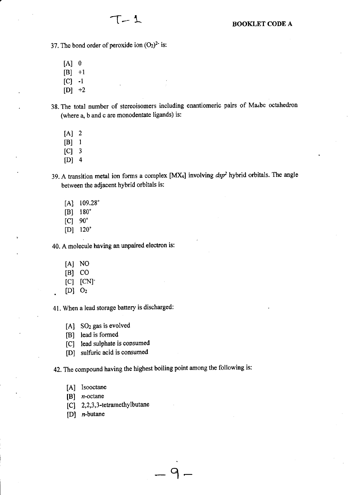37. The bond order of peroxide ion  $(O_2)^2$  is:

 $T-1$ 

- $[A]$  0
- $[B]$  +1
- $|C|$  -1
- $[D]$  +2
- 38. The total number of stereoisomers including enantiomeric pairs of Ma<sub>4</sub>bc octahedron (where a, b and c are monodentate ligands) is:
	- $[A]$  2
	- $|B|$  1
	- $[C]$  3
	- $[D]$  4

39. A transition metal ion forms a complex [MX4] involving  $dsp^2$  hybrid orbitals. The angle between the adjacent hybrid orbitals is:

- $[A]$  109.28°
- lBl 180'
- $|C|$  90 $^{\circ}$
- lDl 120'

40. A molecule having an unpaired electron is:

- [A] NO
- $[B]$  CO
- $|C|$   $|CN$
- $[D]$   $O_2$

41. When a lead storage battery is discharged:

- [A] SO<sub>2</sub> gas is evolved
- [B] lead is formed
- [C] lead sulphate is consumed
- [D] sulfuric acid is consumed

42. The compound having the highest boiling point among the following is:

9.

- [A] Isooctane
- $[B]$  *n*-octane
- [C] 2,2,3,3-tetramethylbutane
- [D] n-butane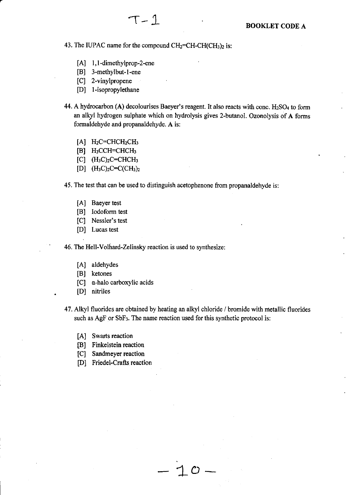43. The IUPAC name for the compound  $CH<sub>2</sub>=CH-CH(CH<sub>3</sub>)<sub>2</sub>$  is:

- [A] 1,1-dimethylprop-2-ene
- [B] 3-methylbut-1-ene
- [C] 2-vinylpropene
- [D] l-isopropylethane
- 44. A hydrocarbon (A) decolourises Baeyer's reagent. It also reacts with conc.  $H<sub>2</sub>SO<sub>4</sub>$  to form an alkyl hydrogen sulphate which on hydrolysis gives 2-butanol. Ozonolysis of A forms formaldehyde and propanaldehyde. A is:
	- $[A]$  H<sub>2</sub>C=CHCH<sub>2</sub>CH<sub>3</sub>
	- [B] H<sub>3</sub>CCH=CHCH<sub>3</sub>
	- $\begin{bmatrix}C\end{bmatrix}$   $(H_3C)_2C=CHCH_3$
	- [D]  $(H_3C)_2C=C(CH_3)_2$

45. The test that can be used to distinguish acetophenone from propanaldehyde is:

- [A] Baeyer test
- [B] Iodoform test
- [C] Nessler's test
- [D] Lucas test

' 46. The Hell-Volhard-Zelinsky reaction is used to synthesize:

- [A] aldehydes
- [B] ketones
- [C]  $\alpha$ -halo carboxylic acids
- . [D] nitriles
- 47. Alkyl fluorides are obtained by heating an alkyl chloride / bromide with metallic fluorides such as AgF or SbF<sub>3</sub>. The name reaction used for this synthetic protocol is:

 $-10$ 

- [A] Swarts reaction
- [B] Finkelstein reaction
- [C] Sandmeyer reaction
- [D] Friedel-Crafts reaction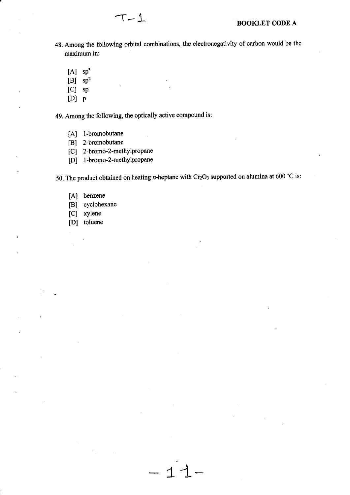- 48. Among the following orbital combinations, the electronegativity of carbon would be the maximum in:
	- $[A]$  sp<sup>3</sup>
	- $[B]$  sp<sup>2</sup>
	- [C] sp
	- $[D]$   $p$

49. Among the following, the optically active compound is:

- [A] l-bromobutane
- [B] 2-bromobutane
- [C] 2-bromo-2-methylpropane
- [D] 1-bromo-2-methylpropane

50. The product obtained on heating *n*-heptane with  $Cr_2O_3$  supported on alumina at 600 °C is:

 $11-$ 

- [A] benzene
- [B] cyclohexane
- [C] xylene
- [D] toluene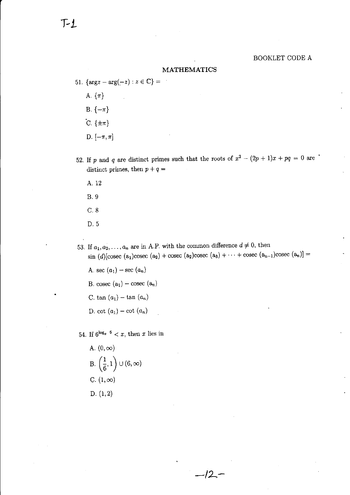#### BOOKLET CODE A

#### MATHEMATICS

- 51. { $\arg z \arg(-z) : z \in \mathbb{C}$ } =  $\sim$ A.  $\{\pi\}$ B.  $\{-\pi\}$  $C. \{\pm \pi\}$ D.  $[-\pi, \pi]$
- 52. If p and q are distinct primes such that the roots of  $x^2 (2p + 1)x + pq = 0$  are distinct primes, then  $p + q =$ 
	- 4.. 12 B.9
	-
	- c.8
	- D.5

53. If  $a_1, a_2, \ldots, a_n$  are in A.P. with the common difference  $d \neq 0$ , then sin  $(d)$ [cosec  $(a_1)$ cosec  $(a_2)$  + cosec  $(a_3)$ cosec  $(a_3)$  +  $\cdots$  + cosec  $(a_{n-1})$ cosec  $(a_n)$ ] =

-lL-

A. sec  $(a_1)$  – sec  $(a_n)$ B. cosec $(a_1) - \text{cosec}$   $(a_n)$ C. tan  $(a_1)$  - tan  $(a_n)$ D. cot  $(a_1)$  – cot  $(a_n)$ 

54. If  $6^{\log_x}$  <sup>6</sup> < *x*, then *x* lies in

A. 
$$
(0, \infty)
$$
  
\nB.  $\left(\frac{1}{6}, 1\right) \cup (6, \infty)$   
\nC.  $(1, \infty)$   
\nD.  $(1, 2)$ 

 $T_1$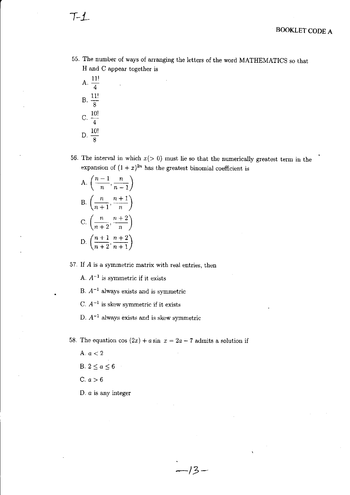- 55. The number of ways of arranging the letters of the word MATHEMATICS so that H and C appear together is
	- A.  $\frac{11!}{4}$  $B. \frac{11!}{8}$ C.  $\frac{10!}{4}$ D.  $\frac{10!}{8}$
- 56. The interval in which  $x(> 0)$  must lie so that the numerically greatest term in the expansion of  $(1 + x)^{2n}$  has the greatest binomial coefficient is

A. 
$$
\left(\frac{n-1}{n}, \frac{n}{n-1}\right)
$$
  
B. 
$$
\left(\frac{n}{n+1}, \frac{n+1}{n}\right)
$$
  
C. 
$$
\left(\frac{n}{n+2}, \frac{n+2}{n}\right)
$$
  
D. 
$$
\left(\frac{n+1}{n+2}, \frac{n+2}{n+1}\right)
$$

57. If  $A$  is a symmetric matrix with real entries, then

A.  $A^{-1}$  is symmetric if it exists

B.  $A^{-1}$  always exists and is symmetric

C.  $A^{-1}$  is skew symmetric if it exists

D.  $A^{-1}$  always exists and is skew symmetric

58. The equation cos  $(2x) + a \sin x = 2a - 7$  admits a solution if

A.  $a < 2$ B.  $2 \le a \le 6$ C.  $a>6$ D. a is any integer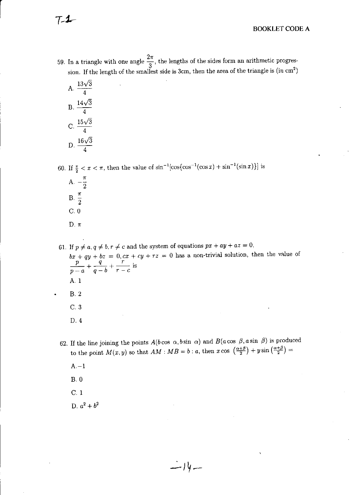59. In a triangle with one angle  $\frac{2\pi}{3}$ , the lengths of the sides form an arithmetic progression. If the length of the smallest side is 3cm, then the area of the triangle is (in cm<sup>2</sup>)

| А  | 13√<br>3<br>4     |
|----|-------------------|
| Β. | $14\sqrt{3}$<br>4 |
| С. | $15\sqrt{3}$<br>4 |
| I  | 16,<br>1          |

60. If  $\frac{\pi}{2} < x < \pi$ , then the value of  $\sin^{-1}[\cos(\cos^{-1}(\cos x) + \sin^{-1}(\sin x))]$  is

- A.  $-\frac{\pi}{2}$ B.  $\frac{\pi}{2}$  $C.0$ D.  $\pi$
- 61. If  $p \neq a, q \neq b, r \neq c$  and the system of equations  $px + ay + az = 0$ ,  $bx + qy + bz = 0, cx + cy + rz = 0$  has a non-trivial solution, then the value of  $\frac{p}{p-a} + \frac{q}{q-b} + \frac{r}{r-c}$  is  $A.1$ **B.2**  $C.3$ D. 4
- 62. If the line joining the points  $A(b \cos \alpha, b \sin \alpha)$  and  $B(a \cos \beta, a \sin \beta)$  is produced to the point  $M(x, y)$  so that  $AM : MB = b : a$ , then  $x \cos \left(\frac{\alpha+\beta}{2}\right) + y \sin \left(\frac{\alpha+\beta}{2}\right) =$ 
	- $A 1$

 $B.0$ 

 $C.1$ 

D.  $a^2 + b^2$ 

 $7 - 1$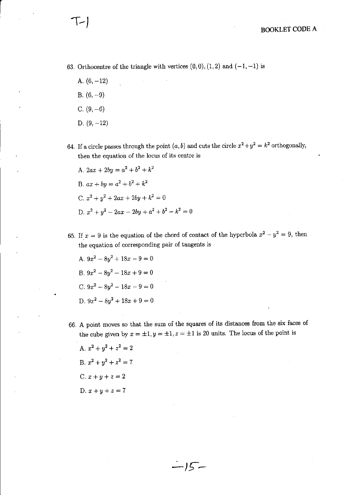63. Orthocentre of the triangle with vertices  $(0,0), (1,2)$  and  $(-1,-1)$  is

- A.  $(6, -12)$
- B.  $(6, -9)$

 $T-$ 

 $\vert$ 

- C.  $(9, -6)$
- D.  $(9, -12)$
- 64. If a circle passes through the point  $(a, b)$  and cuts the circle  $x^2 + y^2 = k^2$  orthogonally, then the equation of the locus of its centre is
	- A,  $2ax + 2by = a^2 + b^2 + k^2$ B.  $ax + by = a^2 + b^2 + k^2$ C.  $x^2 + y^2 + 2ax + 2by + k^2 = 0$ D.  $x^2 + y^2 - 2ax - 2by + a^2 + b^2 - k^2 = 0$
- 65. If  $x = 9$  is the equation of the chord of contact of the hyperbola  $x^2 y^2 = 9$ , then the equation of corresponding pair of tangents is
	- A.  $9x^2-8y^2+18x-9=0$ B.  $9x^2-8y^2-18x+9=0$ C.  $9x^2 - 8y^2 - 18x - 9 = 0$ D.  $9x^2-8y^2+18x+9=0$
- 66. A point moves so that the sum of the squares of its distances ftom the six faces of the cube given by  $x = \pm 1, y = \pm 1, z = \pm 1$  is 20 units. The locus of the point is

 $\cdot$  /  $\zeta$   $\,-$ 

A.  $x^2 + y^2 + z^2 = 2$ B.  $x^2 + y^2 + z^2 = 7$ C.  $x + y + z = 2$ D.  $x + y + z = 7$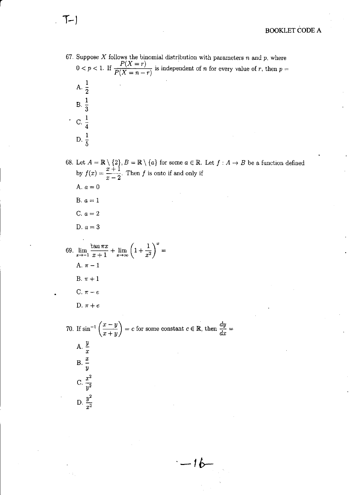67. Suppose  $X$  follows the binomial distribution with parameters  $n$  and  $p$ , where  $0 < p < 1$ . If  $\frac{P(X=r)}{P(X=n-r)}$  is independent of *n* for every value of *r*, then *p* = A.  $\frac{1}{2}$  $B. \ \frac{1}{3}$  $\cdot$  C.  $\frac{1}{4}$ D.  $\frac{1}{5}$ 

 $T-$ 

68. Let  $A = \mathbb{R} \setminus \{2\}, B = \mathbb{R} \setminus \{a\}$  for some  $a \in \mathbb{R}$ . Let  $f : A \to B$  be a function defined by  $f(x) = \frac{x+1}{x-2}$ . Then f is onto if and only if A.  $a=0$ B.  $a=1$ C.  $a=2$ D.  $a=3$ 69.  $\lim_{x \to -1} \frac{\tan \pi x}{x+1} + \lim_{x \to \infty} \left(1 + \frac{1}{x^2}\right)^x =$ A.  $\pi - 1$ B.  $\pi + 1$ C.  $\pi - e$ D.  $\pi + e$ 70. If  $\sin^{-1}\left(\frac{x-y}{x+y}\right) = c$  for some constant  $c \in \mathbb{R}$ , then  $\frac{dy}{dx} =$ A.  $\frac{y}{x}$ <br>B.  $\frac{x}{y}$ C.  $\frac{x^2}{v^2}$ D.  $\frac{y^2}{r^2}$ 

 $-16-$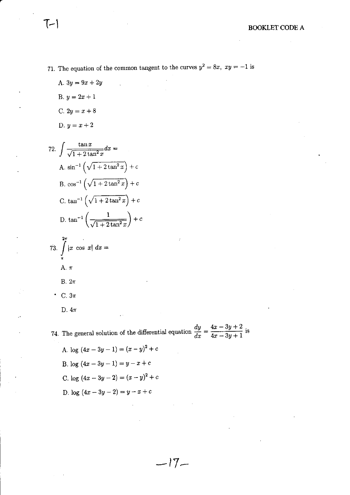- 71. The equation of the common tangent to the curves  $y^2 = 8x$ ,  $xy = -1$  is
	- A.  $3y = 9x + 2y$
	- B.  $y = 2x + 1$
	- C.  $2y = x + 8$
	- D.  $y = x + 2$

72. 
$$
\int \frac{\tan x}{\sqrt{1 + 2 \tan^2 x}} dx =
$$
  
\nA.  $\sin^{-1} \left( \sqrt{1 + 2 \tan^2 x} \right) + c$   
\nB.  $\cos^{-1} \left( \sqrt{1 + 2 \tan^2 x} \right) + c$   
\nC.  $\tan^{-1} \left( \sqrt{1 + 2 \tan^2 x} \right) + c$   
\nD.  $\tan^{-1} \left( \frac{1}{\sqrt{1 + 2 \tan^2 x}} \right) + c$ 

73. 
$$
\int_{\pi}^{2\pi} |x \cos x| dx =
$$
  
A.  $\pi$   
B.  $2\pi$   
C.  $3\pi$ 

D.  $4\pi$ 

74. The general solution of the differential equation  $\frac{dy}{dx} = \frac{4x - 3y + 2}{4x - 3y + 1}$  is

 $-17-$ 

A. log  $(4x - 3y - 1) = (x - y)^2 + c$ B. log  $(4x-3y-1)=y-x+c$ C. log  $(4x - 3y - 2) = (x - y)^2 + c$ D. log  $(4x - 3y - 2) = y - x + c$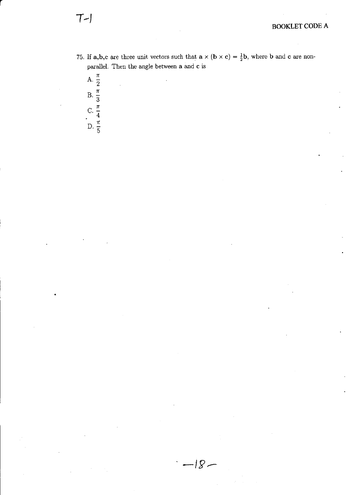75. If a,b,c are three unit vectors such that  $a \times (b \times c) = \frac{1}{2}b$ , where b and c are nonparallel. Then the angle between  ${\bf a}$  and  ${\bf c}$  is

 $-18-$ 

A.  $\frac{\pi}{2}$ <br>B.  $\frac{\pi}{3}$ <br>C.  $\frac{\pi}{4}$ <br>D.  $\frac{\pi}{5}$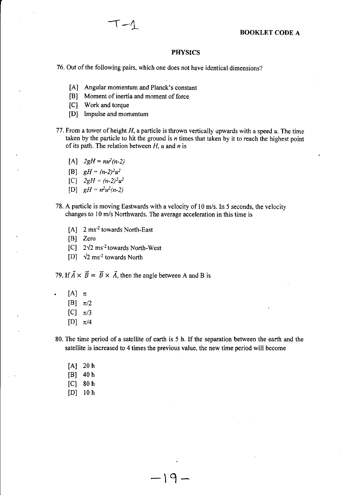#### PHYSICS

76. Out of the following pairs, which one does not have identical dimensions?

- [A] Angular momentum and Planck's constant
- [B] Moment of inertia and moment of force
- [C] Work and torque
- [D] Impulse and momentum
- 77. From a tower of height  $H$ , a particle is thrown vertically upwards with a speed  $u$ . The time taken by the particle to hit the ground is  $n$  times that taken by it to reach the highest point of its path. The relation between  $H$ ,  $u$  and  $n$  is
	- $[A]$   $2gH = nu^2(n-2)$
	- [B]  $gH = (n-2)^2u^2$
	- [C]  $2gH = (n-2)^2u^2$
	- [D]  $gH = n^2u^2(n-2)$
- 78. A particle is moving Eastwards with a velocity of l0 m/s. In 5 seconds, the velocity changes to l0 m/s Northwards. The average acceleration in this time is
	- [A] 2 ms<sup>-2</sup> towards North-East
	- [B] Zero
	- $[C]$  2 $\sqrt{2}$  ms<sup>-2</sup> towards North-West
	- [D]  $\sqrt{2}$  ms<sup>-2</sup> towards North

79. If  $\vec{A} \times \vec{B} = \vec{B} \times \vec{A}$ , then the angle between A and B is

- $[A]$   $\pi$ 
	- [B]  $\pi/2$
	- [C]  $\pi/3$
	- [D]  $\pi/4$

80. The time period of a satellite of earth is 5 h. If the separation between the earth and the satellite is increased to 4 times the previous value, the new time period will become

-19-

- $[A]$  20 h
- lBl <sup>40</sup><sup>h</sup>
- $[C]$  80 h
- lDl l0 <sup>h</sup>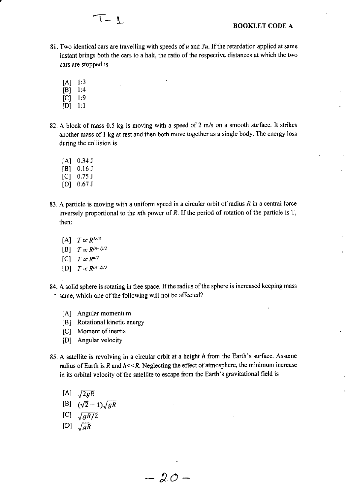

- 81. Two identical cars are travelling with speeds of  $u$  and  $3u$ . If the retardation applied at same instant brings both the cars to a halt, the ratio of the respective distances at which the two cars are stopped is
	- lAl l:3
	- $[B]$  1:4
	- $|C|$  1:9
	- $[D]$  1:1
- 82. A block of mass 0.5 kg is moving with a speed of 2 m/s on a smooth surface. It strikes another mass of I kg at rest and then both move together as a single body. The energy loss during the collision is
	- $[A]$  0.34 J
	- $[B]$  0.16 J
	- $[C]$  0.75 J
	- lDl 0.67 <sup>J</sup>
- 83. A particle is moving with a uniform speed in a circular orbit of radius  $R$  in a central force inversely proportional to the *n*th power of R. If the period of rotation of the particle is  $T$ , then:
	- [A]  $T \propto R^{2n/3}$
	- [B]  $T \propto R^{(n+1)/2}$
	- $[C]$   $T \propto R^{n/2}$
	- $[D]$   $T \propto R^{(n+2)/3}$
- 84. A solid sphere is rotating in free space. If the radius of the sphere is increased keeping mass ' same, which one of the following will not be affected?
	- [A] Angular momentum
	- [B] Rotational kinetic energy
	- [C] Moment of inertia
	- [D] Angular velocity
- 85. A satellite is revolving in a circular orbit at a height  $h$  from the Earth's surface. Assume radius of Earth is R and  $h \ll R$ . Neglecting the effect of atmosphere, the minimum increase in its orbital velocity of the satellite to escape from the Earth's gravitational field is

 $-20-$ 

- $[A] \sqrt{2gR}$ [B]  $(\sqrt{2}-1)\sqrt{gR}$ [C]  $\sqrt{gR/2}$
- 
- $\left[\begin{smallmatrix} D\end{smallmatrix}\right]$   $\sqrt{gR}$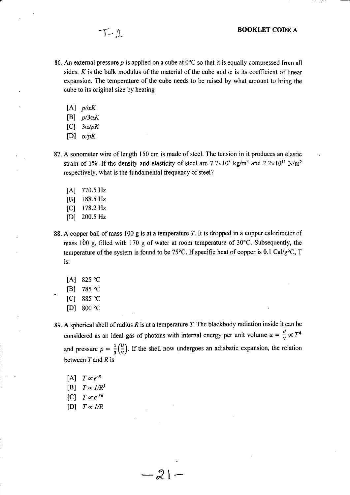- 86. An external pressure p is applied on a cube at  $0^{\circ}$ C so that it is equally compressed from all sides. K is the bulk modulus of the material of the cube and  $\alpha$  is its coefficient of linear expansion. The temperature of the cube needs to be raised by what amount to bring the cube to its original size by heating
	- [A]  $p/\alpha K$

 $T-1$ 

- [B]  $p/3\alpha K$
- [C]  $3\alpha/pK$
- [D]  $\alpha/pK$
- 87. A sonometer wire of length 150 cm is made of steel. The tension in it produces an elastic strain of 1%. If the density and elasticity of steel are  $7.7 \times 10^3$  kg/m<sup>3</sup> and  $2.2 \times 10^{11}$  N/m<sup>2</sup> respectively, what is the fundamental frequency of steel?
	- [A] 770.5 Hz
	- [B] 188.5 Hz
	- $[C]$  178.2 Hz
	- [D] 200.5 Hz
- 88. A copper ball of mass 100 g is at a temperature  $T$ . It is dropped in a copper calorimeter of mass 100 g, filled with 170 g of water at room temperature of  $30^{\circ}$ C. Subsequently, the temperature of the system is found to be 75 $^{\circ}$ C. If specific heat of copper is 0.1 Cal/g $^{\circ}$ C, T is:
	- $[A]$  825 °C
	- $[B]$  785 °C
	- $|C|$  885 $°C$
	- lDl 800 "c
- 89. A spherical shell of radius R is at a temperature T. The blackbody radiation inside it can be considered as an ideal gas of photons with internal energy per unit volume  $u = \frac{v}{v} \propto T^4$ and pressure  $p = \frac{1}{3} \left( \frac{U}{V} \right)$ . If the shell now undergoes an adiabatic expansion, the relation between  $T$  and  $R$  is

 $-21-$ 

- [A]  $T \propto e^{-R}$
- [B]  $T \propto l/R^3$
- $|C|$   $T \propto e^{-3R}$
- [D]  $T \propto I/R$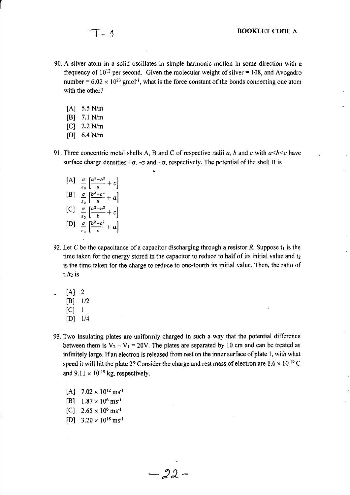- 90. A silver atom in a solid oscillates in simple harmonic motion in some direction with <sup>a</sup> frequency of  $10^{12}$  per second. Given the molecular weight of silver = 108, and Avogadro number =  $6.02 \times 10^{23}$  gmol<sup>-1</sup>, what is the force constant of the bonds connecting one atom with the other?
	- $[A]$  5.5 N/m
	- [B] 7.1N/m
	- [C] 2.2 N/n
	- [D] 6.4 N/m
- 91. Three concentric metal shells A, B and C of respective radii a, b and c with  $a < b < c$  have surface charge densities  $+\sigma$ ,  $-\sigma$  and  $+\sigma$ , respectively. The potential of the shell B is
	- [A]  $\frac{\sigma}{\varepsilon_0} \left[ \frac{a^2-b^2}{a} + c \right]$ [B]  $\frac{\sigma}{\varepsilon_0} \left[ \frac{b^2 - c^2}{b} + a \right]$  $\begin{bmatrix} C \end{bmatrix} \begin{bmatrix} \frac{\sigma}{\mu} \frac{a^2-b^2}{b} + c \end{bmatrix}$ [D]  $\frac{\sigma}{\epsilon_0} \left[ \frac{b^2-c^2}{c} + a \right]$
- 92. Let C be the capacitance of a capacitor discharging through a resistor R. Suppose  $t_1$  is the time taken for the energy stored in the capacitor to reduce to half of its initial value and  $t_2$ is the time taken for the charge to reduce to one-fourth its initial value. Then, the ratio of  $t_1/t_2$  is
	- $[A]$  2
		- $[B]$  1/2
		- $|C|$  1
		- $[D]$  1/4
- 93. Two insulating plates are uniformly charged in such a way that the potential difference between them is  $V_2 - V_1 = 20V$ . The plates are separated by 10 cm and can be treated as infinitely large. If an electron is released from rest on the inner surface of plate 1, with what speed it will hit the plate 2? Consider the charge and rest mass of electron are  $1.6 \times 10^{-19}$  C and  $9.11 \times 10^{-19}$  kg, respectively.
	- $[A]$  7.02 × 10<sup>12</sup> ms<sup>-1</sup>
	- [B]  $1.87 \times 10^6$  ms<sup>-1</sup>
	- $[C]$  2.65  $\times$  10<sup>6</sup> ms<sup>-1</sup>
	- [D]  $3.20 \times 10^{18}$  ms<sup>-1</sup>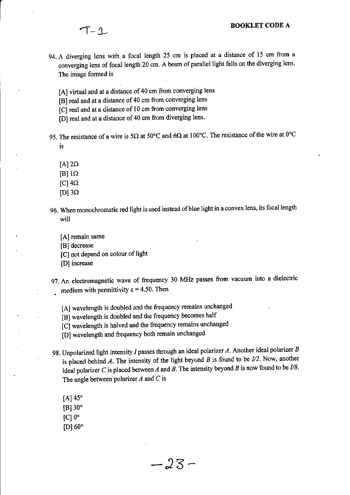- 
- 94. A diverging lens with a focal length 25 cm is placed at a distance of 15 cm from a converging lens of focal length 20 cm. A beam of parallel light falls on the diverging lens. The image formed is
	- [A] virtual and at a distance of 40 cm from converging lens
	- [B] real and at a distance of 40 cm from converging lens
	- [C] real and at a distance of 10 cm from converging lens
	- [D] real and at a distance of 40 cm from diverging lens.
- 95. The resistance of a wire is 5 $\Omega$  at 50°C and 6 $\Omega$  at 100°C. The resistance of the wire at 0°C is
	- $[A]$  2 $\Omega$
	- $[B]$  1Ω
	- $\left[ C\right] 4\Omega$
	- $[D]$  3 $\Omega$
- 96. When monochromatic red light is used instead of blue light in a convex lens, its focal length will
	- [A] remain same
	- [B] decrease
	- [C] not depend on colour of light
	- [D] increase
- 97. An electromagnetic wave of frequency 30 MHz passes from vacuum into a dielectric medium with permittivity  $\varepsilon = 4.50$ . Then
	- [A] wavelength is doubled and the frequency remains unchanged
	- [B] wavelength is doubled and the frequency becomes half
	- [C] wavelength is halved and the frequency remains unchanged
	- [D] wavelength and frequency both remain unchanged
- 98. Unpolarized light intensity I passes through an ideal polarizer A. Another ideal polarizer B is placed behind A. The intensity of the light beyond B is found to be  $1/2$ . Now, another ideal polarizer C is placed between A and B. The intensity beyond B is now found to be  $I/8$ . The angle between polarizer  $\Lambda$  and  $C$  is

 $-23-$ 

- [A]  $45^\circ$  $[B]$  30 $^{\circ}$
- $ICl0<sup>o</sup>$
- $[D]$  60 $^{\circ}$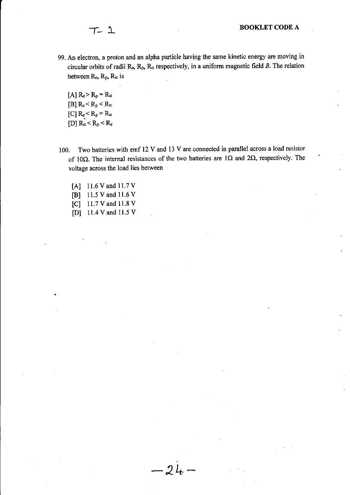99. An electron, a proton and an alpha particle having the same kinetic energy are moving in circular orbits of radii  $\text{R}_{e}$ ,  $\text{R}_{p}$ ,  $\text{R}_{\alpha}$  respectively, in a uniform magnetic field B. The relation between  $R_e$ ,  $R_p$ ,  $R_\alpha$  is

[A]  $R_e > R_p = R_\alpha$ [B]  $R_e < R_p < R_\alpha$ [C]  $R_e < R_p = R_\alpha$ [D]  $R_{\alpha} < R_{p} < R_{e}$ 

- 100. Two batteries with emf 12 v and 13 V are oonnected in parallel across a load resistor of 10 $\Omega$ . The internal resistances of the two batteries are 1 $\Omega$  and 2 $\Omega$ , respectively. The voltage across the load lies between
	- [A] 11.6 V and 11.7 V [B] 11.5 V and 11.6 V
	- [C] 11.7 V and 11.8 V
	- [D]  $11.4$  V and 11.5 V

\*2L-